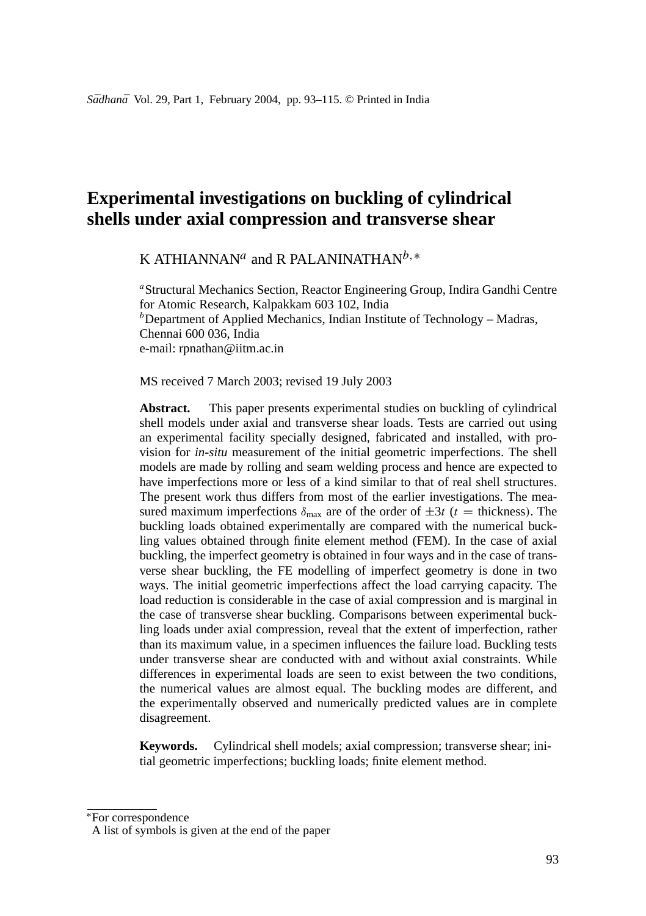# **Experimental investigations on buckling of cylindrical shells under axial compression and transverse shear**

K ATHIANNAN<sup>a</sup> and R PALANINATHAN<sup>b,\*</sup>

<sup>a</sup>Structural Mechanics Section, Reactor Engineering Group, Indira Gandhi Centre for Atomic Research, Kalpakkam 603 102, India  $b$ Department of Applied Mechanics, Indian Institute of Technology – Madras, Chennai 600 036, India e-mail: rpnathan@iitm.ac.in

MS received 7 March 2003; revised 19 July 2003

**Abstract.** This paper presents experimental studies on buckling of cylindrical shell models under axial and transverse shear loads. Tests are carried out using an experimental facility specially designed, fabricated and installed, with provision for *in-situ* measurement of the initial geometric imperfections. The shell models are made by rolling and seam welding process and hence are expected to have imperfections more or less of a kind similar to that of real shell structures. The present work thus differs from most of the earlier investigations. The measured maximum imperfections  $\delta_{\text{max}}$  are of the order of  $\pm 3t$  (t = thickness). The buckling loads obtained experimentally are compared with the numerical buckling values obtained through finite element method (FEM). In the case of axial buckling, the imperfect geometry is obtained in four ways and in the case of transverse shear buckling, the FE modelling of imperfect geometry is done in two ways. The initial geometric imperfections affect the load carrying capacity. The load reduction is considerable in the case of axial compression and is marginal in the case of transverse shear buckling. Comparisons between experimental buckling loads under axial compression, reveal that the extent of imperfection, rather than its maximum value, in a specimen influences the failure load. Buckling tests under transverse shear are conducted with and without axial constraints. While differences in experimental loads are seen to exist between the two conditions, the numerical values are almost equal. The buckling modes are different, and the experimentally observed and numerically predicted values are in complete disagreement.

**Keywords.** Cylindrical shell models; axial compression; transverse shear; initial geometric imperfections; buckling loads; finite element method.

<sup>∗</sup>For correspondence

A list of symbols is given at the end of the paper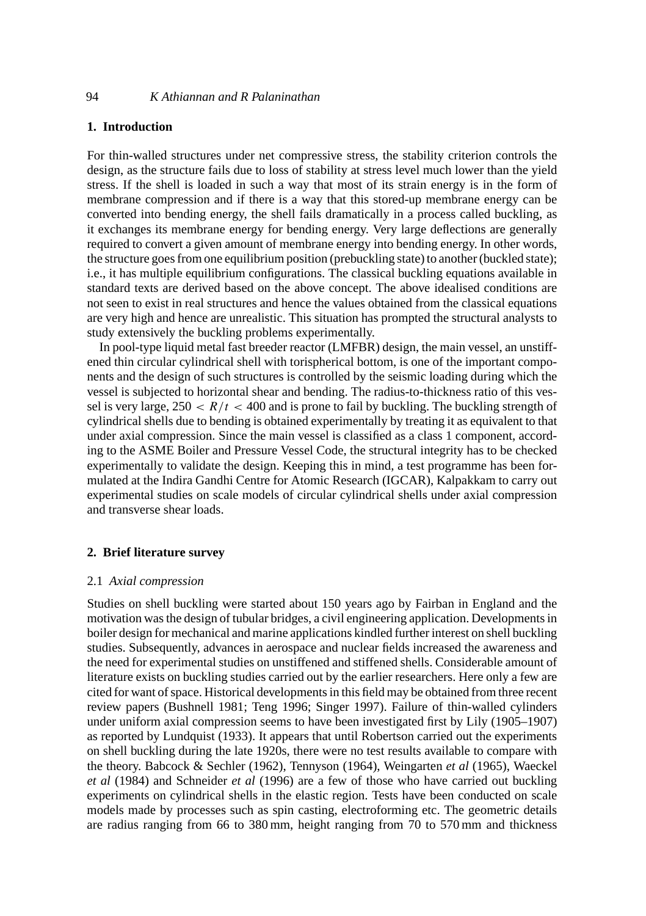#### **1. Introduction**

For thin-walled structures under net compressive stress, the stability criterion controls the design, as the structure fails due to loss of stability at stress level much lower than the yield stress. If the shell is loaded in such a way that most of its strain energy is in the form of membrane compression and if there is a way that this stored-up membrane energy can be converted into bending energy, the shell fails dramatically in a process called buckling, as it exchanges its membrane energy for bending energy. Very large deflections are generally required to convert a given amount of membrane energy into bending energy. In other words, the structure goes from one equilibrium position (prebuckling state) to another (buckled state); i.e., it has multiple equilibrium configurations. The classical buckling equations available in standard texts are derived based on the above concept. The above idealised conditions are not seen to exist in real structures and hence the values obtained from the classical equations are very high and hence are unrealistic. This situation has prompted the structural analysts to study extensively the buckling problems experimentally.

In pool-type liquid metal fast breeder reactor (LMFBR) design, the main vessel, an unstiffened thin circular cylindrical shell with torispherical bottom, is one of the important components and the design of such structures is controlled by the seismic loading during which the vessel is subjected to horizontal shear and bending. The radius-to-thickness ratio of this vessel is very large,  $250 < R/t < 400$  and is prone to fail by buckling. The buckling strength of cylindrical shells due to bending is obtained experimentally by treating it as equivalent to that under axial compression. Since the main vessel is classified as a class 1 component, according to the ASME Boiler and Pressure Vessel Code, the structural integrity has to be checked experimentally to validate the design. Keeping this in mind, a test programme has been formulated at the Indira Gandhi Centre for Atomic Research (IGCAR), Kalpakkam to carry out experimental studies on scale models of circular cylindrical shells under axial compression and transverse shear loads.

# **2. Brief literature survey**

#### 2.1 *Axial compression*

Studies on shell buckling were started about 150 years ago by Fairban in England and the motivation was the design of tubular bridges, a civil engineering application. Developments in boiler design for mechanical and marine applications kindled further interest on shell buckling studies. Subsequently, advances in aerospace and nuclear fields increased the awareness and the need for experimental studies on unstiffened and stiffened shells. Considerable amount of literature exists on buckling studies carried out by the earlier researchers. Here only a few are cited for want of space. Historical developments in this field may be obtained from three recent review papers (Bushnell 1981; Teng 1996; Singer 1997). Failure of thin-walled cylinders under uniform axial compression seems to have been investigated first by Lily (1905–1907) as reported by Lundquist (1933). It appears that until Robertson carried out the experiments on shell buckling during the late 1920s, there were no test results available to compare with the theory. Babcock & Sechler (1962), Tennyson (1964), Weingarten *et al* (1965), Waeckel *et al* (1984) and Schneider *et al* (1996) are a few of those who have carried out buckling experiments on cylindrical shells in the elastic region. Tests have been conducted on scale models made by processes such as spin casting, electroforming etc. The geometric details are radius ranging from 66 to 380 mm, height ranging from 70 to 570 mm and thickness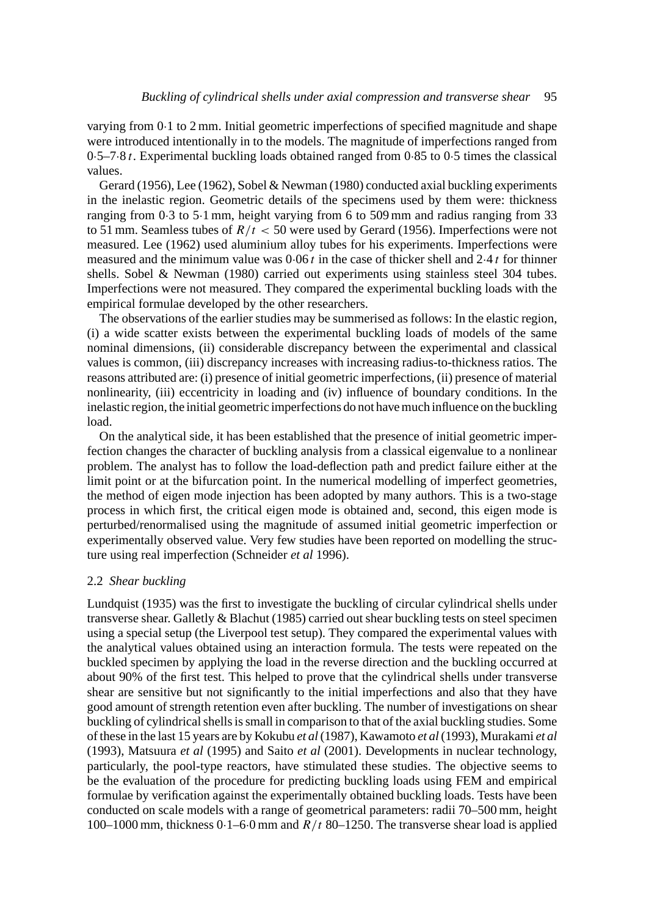varying from 0·1 to 2 mm. Initial geometric imperfections of specified magnitude and shape were introduced intentionally in to the models. The magnitude of imperfections ranged from 0·5–7·8 t. Experimental buckling loads obtained ranged from 0·85 to 0·5 times the classical values.

Gerard (1956), Lee (1962), Sobel & Newman (1980) conducted axial buckling experiments in the inelastic region. Geometric details of the specimens used by them were: thickness ranging from 0·3 to 5·1 mm, height varying from 6 to 509 mm and radius ranging from 33 to 51 mm. Seamless tubes of  $R/t < 50$  were used by Gerard (1956). Imperfections were not measured. Lee (1962) used aluminium alloy tubes for his experiments. Imperfections were measured and the minimum value was  $0.06 t$  in the case of thicker shell and  $2.4 t$  for thinner shells. Sobel & Newman (1980) carried out experiments using stainless steel 304 tubes. Imperfections were not measured. They compared the experimental buckling loads with the empirical formulae developed by the other researchers.

The observations of the earlier studies may be summerised as follows: In the elastic region, (i) a wide scatter exists between the experimental buckling loads of models of the same nominal dimensions, (ii) considerable discrepancy between the experimental and classical values is common, (iii) discrepancy increases with increasing radius-to-thickness ratios. The reasons attributed are: (i) presence of initial geometric imperfections, (ii) presence of material nonlinearity, (iii) eccentricity in loading and (iv) influence of boundary conditions. In the inelastic region, the initial geometric imperfections do not have much influence on the buckling load.

On the analytical side, it has been established that the presence of initial geometric imperfection changes the character of buckling analysis from a classical eigenvalue to a nonlinear problem. The analyst has to follow the load-deflection path and predict failure either at the limit point or at the bifurcation point. In the numerical modelling of imperfect geometries, the method of eigen mode injection has been adopted by many authors. This is a two-stage process in which first, the critical eigen mode is obtained and, second, this eigen mode is perturbed/renormalised using the magnitude of assumed initial geometric imperfection or experimentally observed value. Very few studies have been reported on modelling the structure using real imperfection (Schneider *et al* 1996).

# 2.2 *Shear buckling*

Lundquist (1935) was the first to investigate the buckling of circular cylindrical shells under transverse shear. Galletly & Blachut (1985) carried out shear buckling tests on steel specimen using a special setup (the Liverpool test setup). They compared the experimental values with the analytical values obtained using an interaction formula. The tests were repeated on the buckled specimen by applying the load in the reverse direction and the buckling occurred at about 90% of the first test. This helped to prove that the cylindrical shells under transverse shear are sensitive but not significantly to the initial imperfections and also that they have good amount of strength retention even after buckling. The number of investigations on shear buckling of cylindrical shells is small in comparison to that of the axial buckling studies. Some of these in the last 15 years are by Kokubu *et al*(1987), Kawamoto *et al*(1993), Murakami *et al* (1993), Matsuura *et al* (1995) and Saito *et al* (2001). Developments in nuclear technology, particularly, the pool-type reactors, have stimulated these studies. The objective seems to be the evaluation of the procedure for predicting buckling loads using FEM and empirical formulae by verification against the experimentally obtained buckling loads. Tests have been conducted on scale models with a range of geometrical parameters: radii 70–500 mm, height 100–1000 mm, thickness  $0.1-6.0$  mm and  $R/t$  80–1250. The transverse shear load is applied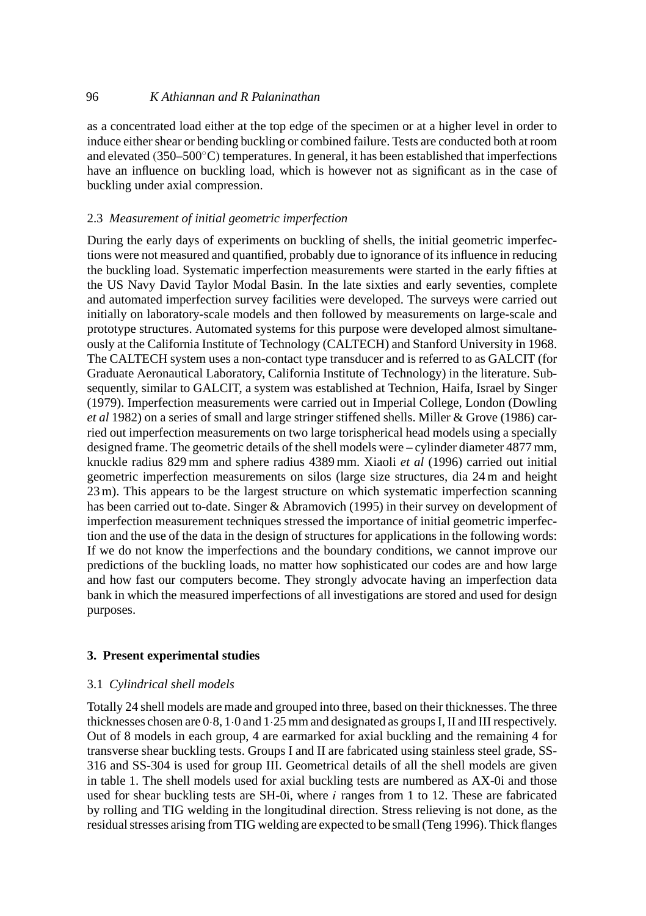as a concentrated load either at the top edge of the specimen or at a higher level in order to induce either shear or bending buckling or combined failure. Tests are conducted both at room and elevated (350–500 $^{\circ}$ C) temperatures. In general, it has been established that imperfections have an influence on buckling load, which is however not as significant as in the case of buckling under axial compression.

# 2.3 *Measurement of initial geometric imperfection*

During the early days of experiments on buckling of shells, the initial geometric imperfections were not measured and quantified, probably due to ignorance of its influence in reducing the buckling load. Systematic imperfection measurements were started in the early fifties at the US Navy David Taylor Modal Basin. In the late sixties and early seventies, complete and automated imperfection survey facilities were developed. The surveys were carried out initially on laboratory-scale models and then followed by measurements on large-scale and prototype structures. Automated systems for this purpose were developed almost simultaneously at the California Institute of Technology (CALTECH) and Stanford University in 1968. The CALTECH system uses a non-contact type transducer and is referred to as GALCIT (for Graduate Aeronautical Laboratory, California Institute of Technology) in the literature. Subsequently, similar to GALCIT, a system was established at Technion, Haifa, Israel by Singer (1979). Imperfection measurements were carried out in Imperial College, London (Dowling *et al* 1982) on a series of small and large stringer stiffened shells. Miller & Grove (1986) carried out imperfection measurements on two large torispherical head models using a specially designed frame. The geometric details of the shell models were – cylinder diameter 4877 mm, knuckle radius 829 mm and sphere radius 4389 mm. Xiaoli *et al* (1996) carried out initial geometric imperfection measurements on silos (large size structures, dia 24 m and height 23 m). This appears to be the largest structure on which systematic imperfection scanning has been carried out to-date. Singer & Abramovich (1995) in their survey on development of imperfection measurement techniques stressed the importance of initial geometric imperfection and the use of the data in the design of structures for applications in the following words: If we do not know the imperfections and the boundary conditions, we cannot improve our predictions of the buckling loads, no matter how sophisticated our codes are and how large and how fast our computers become. They strongly advocate having an imperfection data bank in which the measured imperfections of all investigations are stored and used for design purposes.

## **3. Present experimental studies**

## 3.1 *Cylindrical shell models*

Totally 24 shell models are made and grouped into three, based on their thicknesses. The three thicknesses chosen are 0·8, 1·0 and 1·25 mm and designated as groups I, II and III respectively. Out of 8 models in each group, 4 are earmarked for axial buckling and the remaining 4 for transverse shear buckling tests. Groups I and II are fabricated using stainless steel grade, SS-316 and SS-304 is used for group III. Geometrical details of all the shell models are given in table 1. The shell models used for axial buckling tests are numbered as AX-0i and those used for shear buckling tests are SH-0i, where  $i$  ranges from 1 to 12. These are fabricated by rolling and TIG welding in the longitudinal direction. Stress relieving is not done, as the residual stresses arising from TIG welding are expected to be small (Teng 1996). Thick flanges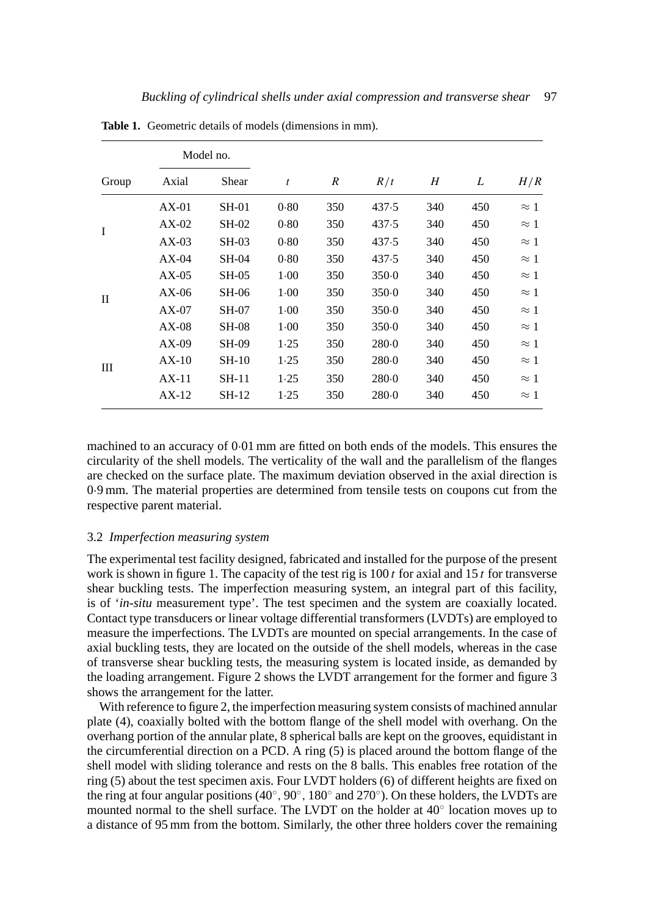|              |         | Model no.    |                  |                  |           |     |     |             |
|--------------|---------|--------------|------------------|------------------|-----------|-----|-----|-------------|
| Group        | Axial   | Shear        | $\boldsymbol{t}$ | $\boldsymbol{R}$ | R/t       | H   | L   | H/R         |
|              | $AX-01$ | $SH-01$      | 0.80             | 350              | 437.5     | 340 | 450 | $\approx 1$ |
| $\mathbf{I}$ | $AX-02$ | SH-02        | 0.80             | 350              | 437.5     | 340 | 450 | $\approx 1$ |
|              | $AX-03$ | $SH-03$      | 0.80             | 350              | 437.5     | 340 | 450 | $\approx 1$ |
|              | $AX-04$ | $SH-04$      | 0.80             | 350              | 437.5     | 340 | 450 | $\approx 1$ |
| $\mathbf{I}$ | $AX-05$ | $SH-05$      | $1 - 00$         | 350              | 350.0     | 340 | 450 | $\approx 1$ |
|              | $AX-06$ | $SH-06$      | $1-00$           | 350              | 350.0     | 340 | 450 | $\approx 1$ |
|              | $AX-07$ | $SH-07$      | $1 - 00$         | 350              | 350.0     | 340 | 450 | $\approx 1$ |
|              | $AX-08$ | $SH-08$      | $1-00$           | 350              | 350.0     | 340 | 450 | $\approx 1$ |
|              | $AX-09$ | <b>SH-09</b> | 1.25             | 350              | $280 - 0$ | 340 | 450 | $\approx 1$ |
| Ш            | $AX-10$ | $SH-10$      | 1.25             | 350              | $280 - 0$ | 340 | 450 | $\approx 1$ |
|              | $AX-11$ | $SH-11$      | 1.25             | 350              | 280.0     | 340 | 450 | $\approx$ 1 |
|              | $AX-12$ | SH-12        | 1.25             | 350              | $280 - 0$ | 340 | 450 | $\approx 1$ |

**Table 1.** Geometric details of models (dimensions in mm).

machined to an accuracy of 0·01 mm are fitted on both ends of the models. This ensures the circularity of the shell models. The verticality of the wall and the parallelism of the flanges are checked on the surface plate. The maximum deviation observed in the axial direction is 0·9 mm. The material properties are determined from tensile tests on coupons cut from the respective parent material.

#### 3.2 *Imperfection measuring system*

The experimental test facility designed, fabricated and installed for the purpose of the present work is shown in figure 1. The capacity of the test rig is  $100 t$  for axial and  $15 t$  for transverse shear buckling tests. The imperfection measuring system, an integral part of this facility, is of '*in-situ* measurement type'. The test specimen and the system are coaxially located. Contact type transducers or linear voltage differential transformers (LVDTs) are employed to measure the imperfections. The LVDTs are mounted on special arrangements. In the case of axial buckling tests, they are located on the outside of the shell models, whereas in the case of transverse shear buckling tests, the measuring system is located inside, as demanded by the loading arrangement. Figure 2 shows the LVDT arrangement for the former and figure 3 shows the arrangement for the latter.

With reference to figure 2, the imperfection measuring system consists of machined annular plate (4), coaxially bolted with the bottom flange of the shell model with overhang. On the overhang portion of the annular plate, 8 spherical balls are kept on the grooves, equidistant in the circumferential direction on a PCD. A ring (5) is placed around the bottom flange of the shell model with sliding tolerance and rests on the 8 balls. This enables free rotation of the ring (5) about the test specimen axis. Four LVDT holders (6) of different heights are fixed on the ring at four angular positions (40 $\degree$ , 90 $\degree$ , 180 $\degree$  and 270 $\degree$ ). On these holders, the LVDTs are mounted normal to the shell surface. The LVDT on the holder at  $40°$  location moves up to a distance of 95 mm from the bottom. Similarly, the other three holders cover the remaining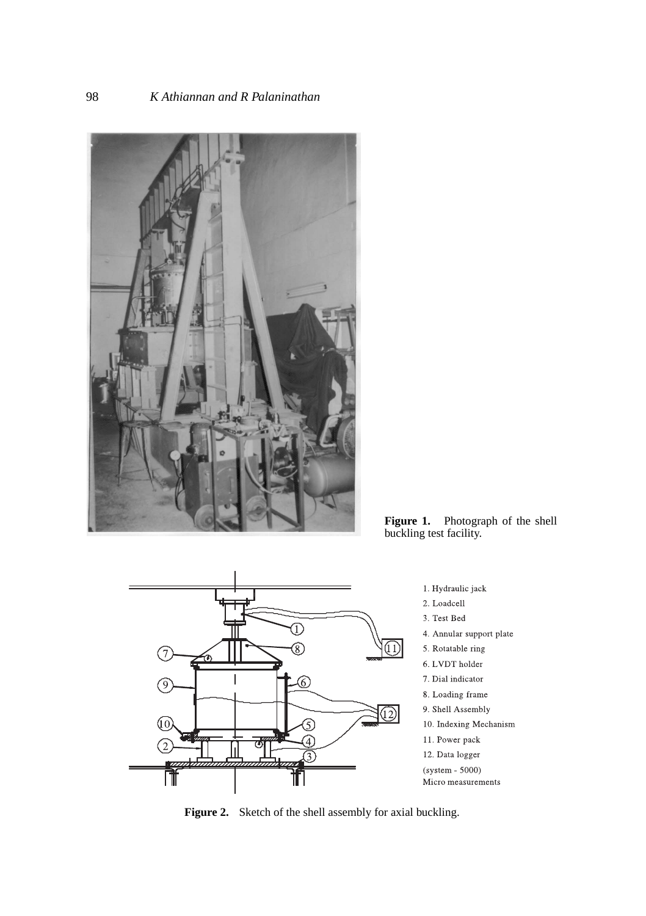

**Figure 1.** Photograph of the shell buckling test facility.



- 1. Hydraulic jack
- 2. Loadcell
- 3. Test Bed
- 4. Annular support plate
- 5. Rotatable ring
- 6. LVDT holder
- 7. Dial indicator
- 8. Loading frame
- 9. Shell Assembly
- 10. Indexing Mechanism
- 11. Power pack
- 12. Data logger
- $(system 5000)$
- Micro measurements

**Figure 2.** Sketch of the shell assembly for axial buckling.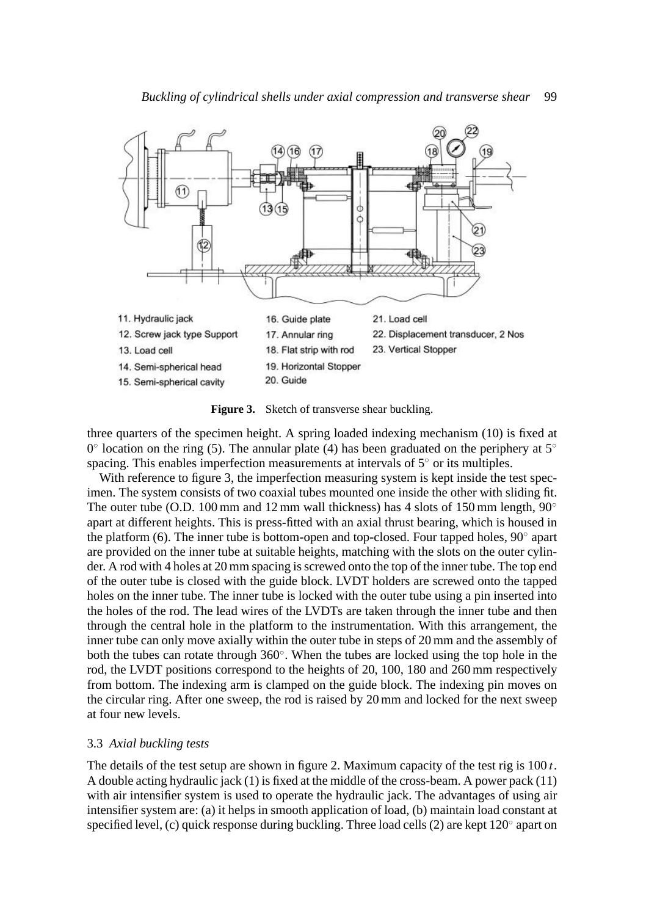

**Figure 3.** Sketch of transverse shear buckling.

three quarters of the specimen height. A spring loaded indexing mechanism (10) is fixed at  $0°$  location on the ring (5). The annular plate (4) has been graduated on the periphery at  $5°$ spacing. This enables imperfection measurements at intervals of 5<sup>°</sup> or its multiples.

With reference to figure 3, the imperfection measuring system is kept inside the test specimen. The system consists of two coaxial tubes mounted one inside the other with sliding fit. The outer tube (O.D. 100 mm and 12 mm wall thickness) has 4 slots of 150 mm length,  $90^\circ$ apart at different heights. This is press-fitted with an axial thrust bearing, which is housed in the platform (6). The inner tube is bottom-open and top-closed. Four tapped holes, 90◦ apart are provided on the inner tube at suitable heights, matching with the slots on the outer cylinder. A rod with 4 holes at 20 mm spacing is screwed onto the top of the inner tube. The top end of the outer tube is closed with the guide block. LVDT holders are screwed onto the tapped holes on the inner tube. The inner tube is locked with the outer tube using a pin inserted into the holes of the rod. The lead wires of the LVDTs are taken through the inner tube and then through the central hole in the platform to the instrumentation. With this arrangement, the inner tube can only move axially within the outer tube in steps of 20 mm and the assembly of both the tubes can rotate through 360◦. When the tubes are locked using the top hole in the rod, the LVDT positions correspond to the heights of 20, 100, 180 and 260 mm respectively from bottom. The indexing arm is clamped on the guide block. The indexing pin moves on the circular ring. After one sweep, the rod is raised by 20 mm and locked for the next sweep at four new levels.

#### 3.3 *Axial buckling tests*

The details of the test setup are shown in figure 2. Maximum capacity of the test rig is  $100t$ . A double acting hydraulic jack (1) is fixed at the middle of the cross-beam. A power pack (11) with air intensifier system is used to operate the hydraulic jack. The advantages of using air intensifier system are: (a) it helps in smooth application of load, (b) maintain load constant at specified level, (c) quick response during buckling. Three load cells (2) are kept 120◦ apart on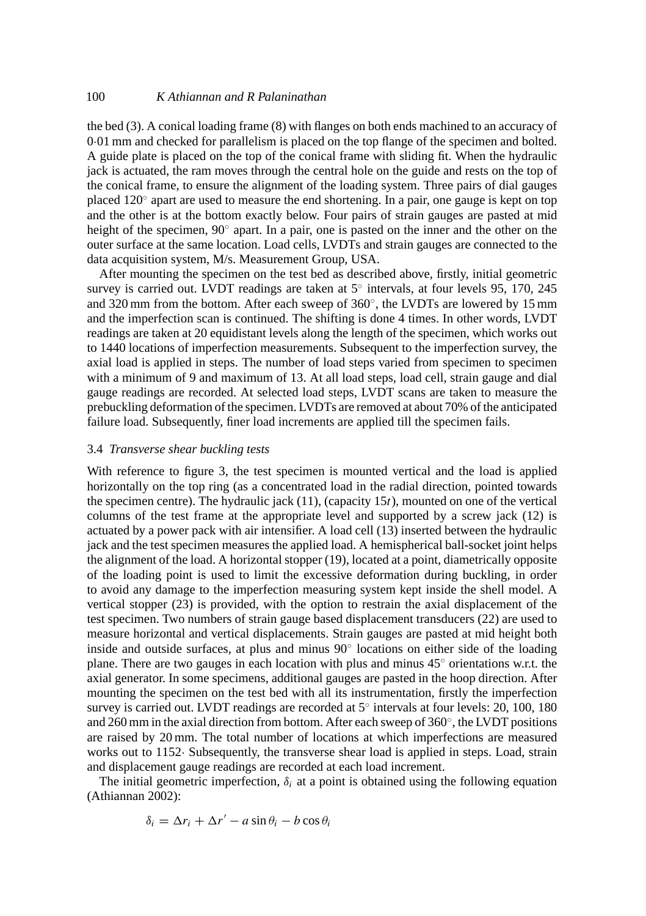the bed (3). A conical loading frame (8) with flanges on both ends machined to an accuracy of 0·01 mm and checked for parallelism is placed on the top flange of the specimen and bolted. A guide plate is placed on the top of the conical frame with sliding fit. When the hydraulic jack is actuated, the ram moves through the central hole on the guide and rests on the top of the conical frame, to ensure the alignment of the loading system. Three pairs of dial gauges placed 120◦ apart are used to measure the end shortening. In a pair, one gauge is kept on top and the other is at the bottom exactly below. Four pairs of strain gauges are pasted at mid height of the specimen, 90° apart. In a pair, one is pasted on the inner and the other on the outer surface at the same location. Load cells, LVDTs and strain gauges are connected to the data acquisition system, M/s. Measurement Group, USA.

After mounting the specimen on the test bed as described above, firstly, initial geometric survey is carried out. LVDT readings are taken at 5<sup>°</sup> intervals, at four levels 95, 170, 245 and 320 mm from the bottom. After each sweep of  $360^\circ$ , the LVDTs are lowered by 15 mm and the imperfection scan is continued. The shifting is done 4 times. In other words, LVDT readings are taken at 20 equidistant levels along the length of the specimen, which works out to 1440 locations of imperfection measurements. Subsequent to the imperfection survey, the axial load is applied in steps. The number of load steps varied from specimen to specimen with a minimum of 9 and maximum of 13. At all load steps, load cell, strain gauge and dial gauge readings are recorded. At selected load steps, LVDT scans are taken to measure the prebuckling deformation of the specimen. LVDTs are removed at about 70% of the anticipated failure load. Subsequently, finer load increments are applied till the specimen fails.

## 3.4 *Transverse shear buckling tests*

With reference to figure 3, the test specimen is mounted vertical and the load is applied horizontally on the top ring (as a concentrated load in the radial direction, pointed towards the specimen centre). The hydraulic jack  $(11)$ , (capacity  $15t$ ), mounted on one of the vertical columns of the test frame at the appropriate level and supported by a screw jack (12) is actuated by a power pack with air intensifier. A load cell (13) inserted between the hydraulic jack and the test specimen measures the applied load. A hemispherical ball-socket joint helps the alignment of the load. A horizontal stopper (19), located at a point, diametrically opposite of the loading point is used to limit the excessive deformation during buckling, in order to avoid any damage to the imperfection measuring system kept inside the shell model. A vertical stopper (23) is provided, with the option to restrain the axial displacement of the test specimen. Two numbers of strain gauge based displacement transducers (22) are used to measure horizontal and vertical displacements. Strain gauges are pasted at mid height both inside and outside surfaces, at plus and minus 90◦ locations on either side of the loading plane. There are two gauges in each location with plus and minus 45◦ orientations w.r.t. the axial generator. In some specimens, additional gauges are pasted in the hoop direction. After mounting the specimen on the test bed with all its instrumentation, firstly the imperfection survey is carried out. LVDT readings are recorded at 5<sup>°</sup> intervals at four levels: 20, 100, 180 and 260 mm in the axial direction from bottom. After each sweep of 360◦, the LVDT positions are raised by 20 mm. The total number of locations at which imperfections are measured works out to 1152· Subsequently, the transverse shear load is applied in steps. Load, strain and displacement gauge readings are recorded at each load increment.

The initial geometric imperfection,  $\delta_i$  at a point is obtained using the following equation (Athiannan 2002):

$$
\delta_i = \Delta r_i + \Delta r' - a \sin \theta_i - b \cos \theta_i
$$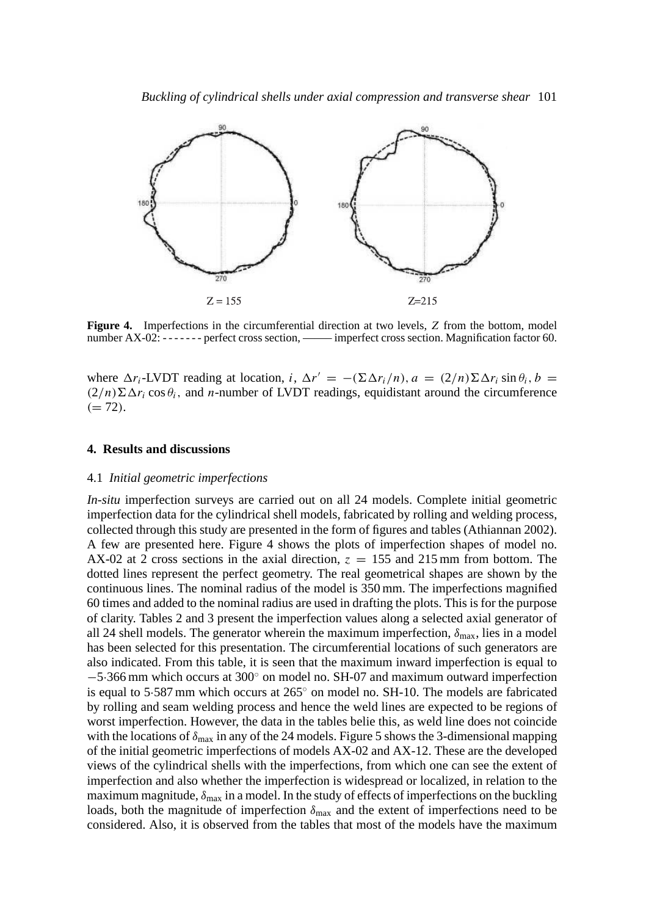

**Figure 4.** Imperfections in the circumferential direction at two levels, Z from the bottom, model number AX-02: ------- perfect cross section, ——– imperfect cross section. Magnification factor 60.

where  $\Delta r_i$ -LVDT reading at location, i,  $\Delta r' = -(\Sigma \Delta r_i/n)$ ,  $a = (2/n)\Sigma \Delta r_i \sin \theta_i$ ,  $b =$  $(2/n)\Sigma\Delta r_i \cos\theta_i$ , and *n*-number of LVDT readings, equidistant around the circumference  $(= 72)$ .

## **4. Results and discussions**

#### 4.1 *Initial geometric imperfections*

*In-situ* imperfection surveys are carried out on all 24 models. Complete initial geometric imperfection data for the cylindrical shell models, fabricated by rolling and welding process, collected through this study are presented in the form of figures and tables (Athiannan 2002). A few are presented here. Figure 4 shows the plots of imperfection shapes of model no. AX-02 at 2 cross sections in the axial direction,  $z = 155$  and 215 mm from bottom. The dotted lines represent the perfect geometry. The real geometrical shapes are shown by the continuous lines. The nominal radius of the model is 350 mm. The imperfections magnified 60 times and added to the nominal radius are used in drafting the plots. This is for the purpose of clarity. Tables 2 and 3 present the imperfection values along a selected axial generator of all 24 shell models. The generator wherein the maximum imperfection,  $\delta_{\text{max}}$ , lies in a model has been selected for this presentation. The circumferential locations of such generators are also indicated. From this table, it is seen that the maximum inward imperfection is equal to −5·366 mm which occurs at 300◦ on model no. SH-07 and maximum outward imperfection is equal to 5·587 mm which occurs at 265◦ on model no. SH-10. The models are fabricated by rolling and seam welding process and hence the weld lines are expected to be regions of worst imperfection. However, the data in the tables belie this, as weld line does not coincide with the locations of  $\delta_{\text{max}}$  in any of the 24 models. Figure 5 shows the 3-dimensional mapping of the initial geometric imperfections of models AX-02 and AX-12. These are the developed views of the cylindrical shells with the imperfections, from which one can see the extent of imperfection and also whether the imperfection is widespread or localized, in relation to the maximum magnitude,  $\delta_{\text{max}}$  in a model. In the study of effects of imperfections on the buckling loads, both the magnitude of imperfection  $\delta_{\text{max}}$  and the extent of imperfections need to be considered. Also, it is observed from the tables that most of the models have the maximum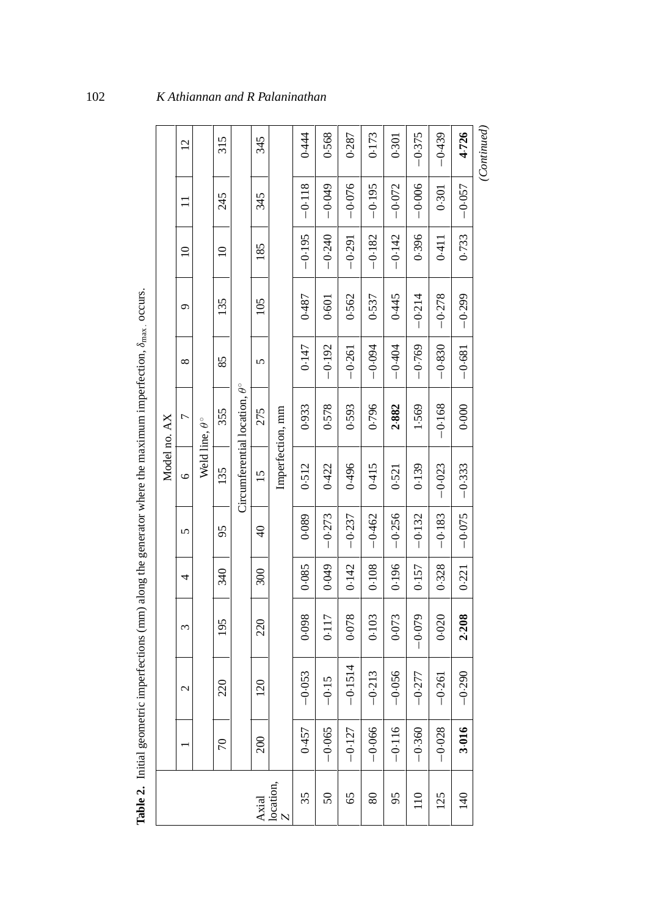|                         |               | <b>Table 2.</b> Initial geometric imperfections (mm) along the generator where the maximum imperfection, $\delta_{\text{max}}$ , occurs. |          |       |               |                  |                                            |            |          |                 |          |                |
|-------------------------|---------------|------------------------------------------------------------------------------------------------------------------------------------------|----------|-------|---------------|------------------|--------------------------------------------|------------|----------|-----------------|----------|----------------|
|                         |               |                                                                                                                                          |          |       |               | Model no. AX     |                                            |            |          |                 |          |                |
|                         |               | 2                                                                                                                                        | 3        | 4     | 5             | $\circ$          | 7                                          | $^{\circ}$ | $\sigma$ | $\Box$          | ニ        | $\overline{c}$ |
|                         |               |                                                                                                                                          |          |       |               |                  | Weld line, $\theta^{\circ}$                |            |          |                 |          |                |
|                         | $\mathcal{E}$ | 220                                                                                                                                      | 195      | 340   | 95            | 135              | 355                                        | 85         | 135      | $\overline{10}$ | 245      | 315            |
|                         |               |                                                                                                                                          |          |       |               |                  | Circumferential location, $\theta^{\circ}$ |            |          |                 |          |                |
| Axial                   | 200           | $\frac{20}{2}$                                                                                                                           | 220      | 300   | $\frac{1}{4}$ | 15               | 275                                        | 5          | 105      | 185             | 345      | 345            |
| $\frac{1}{Z}$ location, |               |                                                                                                                                          |          |       |               | Imperfection, mm |                                            |            |          |                 |          |                |
| 35                      | 0.457         | $-0.053$                                                                                                                                 | 0.098    | 0.085 | 0.089         | 0.512            | 0.933                                      | 0.147      | 0.487    | $-0.195$        | $-0.118$ | 0.444          |
| 50                      | $-0.065$      | $-0.15$                                                                                                                                  | 0.117    | 60.00 | $-0.273$      | 0.422            | 0.578                                      | $-0.192$   | 0.601    | $-0.240$        | $-0.049$ | 0.568          |
| 65                      | $-0.127$      | 514<br>$-0.1$                                                                                                                            | 0.078    | 0.142 | $-0.237$      | 0.496            | 0.593                                      | $-0.261$   | 0.562    | $-0.291$        | $-0.076$ | 0.287          |
| 80                      | $-0.066$      | S<br>$-0.21$                                                                                                                             | 0.103    | 0.108 | $-0.462$      | 0.415            | 0.796                                      | $-0.094$   | 0.537    | $-0.182$        | $-0.195$ | 0.173          |
| 95                      | $-0.116$      | $-0.056$                                                                                                                                 | 0.073    | 0.196 | $-0.256$      | 0.521            | 2.882                                      | $-0.404$   | 0.445    | $-0.142$        | $-0.072$ | 0.301          |
| 110                     | $-0.360$      | $-0.277$                                                                                                                                 | $-0.079$ | 0.157 | $-0.132$      | 0.139            | 1.569                                      | $-0.769$   | $-0.214$ | 0.396           | $-0.006$ | $-0.375$       |
| 125                     | $-0.028$      | $-0.261$                                                                                                                                 | 0.020    | 0.328 | $-0.183$      | $-0.023$         | $-0.168$                                   | $-0.830$   | $-0.278$ | 0.411           | 0.301    | $-0.439$       |
| 140                     | 3.016         | $-0.290$                                                                                                                                 | 2.208    | 0.221 | $-0.075$      | $-0.333$         | 0.000                                      | $-0.681$   | $-0.299$ | 0.733           | $-0.057$ | 4.726          |
|                         |               |                                                                                                                                          |          |       |               |                  |                                            |            |          |                 |          | (Continued)    |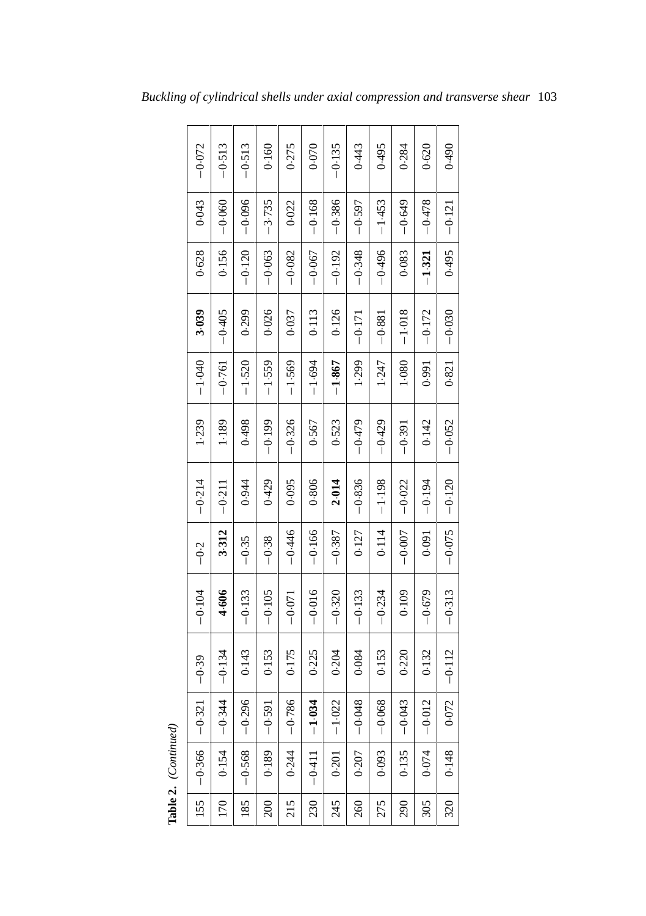|                      | $-0.072$ | $-0.513$ | $-0.513$ | 0.160    | 0.275    | 0.070    | $-0.135$ | 0.443    | 0.495    | 0.284    | 0.620    | 0.490    |
|----------------------|----------|----------|----------|----------|----------|----------|----------|----------|----------|----------|----------|----------|
|                      | 0.043    | $-0.060$ | $-0.096$ | $-3.735$ | 0.022    | $-0.168$ | $-0.386$ | $-0.597$ | $-1.453$ | $-0.649$ | $-0.478$ | $-0.121$ |
|                      | 0.628    | 0.156    | $-0.120$ | $-0.063$ | $-0.082$ | $-0.067$ | $-0.192$ | $-0.348$ | $-0.496$ | 0.083    | $-1.321$ | 0.495    |
|                      | 3.039    | $-0.405$ | 0.299    | 0.026    | 0.037    | 0.113    | 0.126    | $-0.171$ | $-0.881$ | $-1.018$ | $-0.172$ | $-0.030$ |
|                      | $-1.040$ | $-0.761$ | $-1.520$ | $-1.559$ | $-1.569$ | $-1.694$ | $-1.867$ | 1.299    | 1.247    | 1.080    | 0.991    | 0.821    |
|                      | 1.239    | 1.189    | 867.0    | $-0.199$ | $-0.326$ | 0.567    | 0.523    | $-0.479$ | $-0.429$ | $-0.391$ | 0.142    | $-0.052$ |
|                      | $-0.214$ | $-0.211$ | 0.944    | 0.429    | 0.095    | 0.806    | 2.014    | $-0.836$ | $-1.198$ | $-0.022$ | $-0.194$ | $-0.120$ |
|                      | $-0.2$   | 3.312    | $-0.35$  | $-0.38$  | $-0.446$ | $-0.166$ | $-0.387$ | 0.127    | 0.114    | $-0.007$ | 0.091    | $-0.075$ |
|                      | $-0.104$ | 4.606    | $-0.133$ | $-0.105$ | $-0.071$ | $-0.016$ | $-0.320$ | $-0.133$ | $-0.234$ | 0.109    | $-0.679$ | $-0.313$ |
|                      | $-0.39$  | $-0.134$ | 0.143    | 0.153    | 0.175    | 0.225    | 0.204    | 0.084    | 0.153    | 0.220    | 0.132    | $-0.112$ |
|                      | $-0.321$ | $-0.344$ | $-0.296$ | $-0.591$ | $-0.786$ | $-1.034$ | $-1.022$ | $-0.048$ | $-0.068$ | $-0.043$ | $-0.012$ | 0.072    |
| Table 2. (Continued) | $-0.366$ | 0.154    | $-0.568$ | 0.189    | 0.244    | $-0.411$ | 0.201    | 0.207    | 0.093    | 0.135    | 0.074    | 0.148    |
|                      | 155      | 170      | 185      | 200      | 215      | 230      | 245      | 260      | 275      | 290      | 305      | 320      |

| ŧ |
|---|
|   |
|   |

 $-$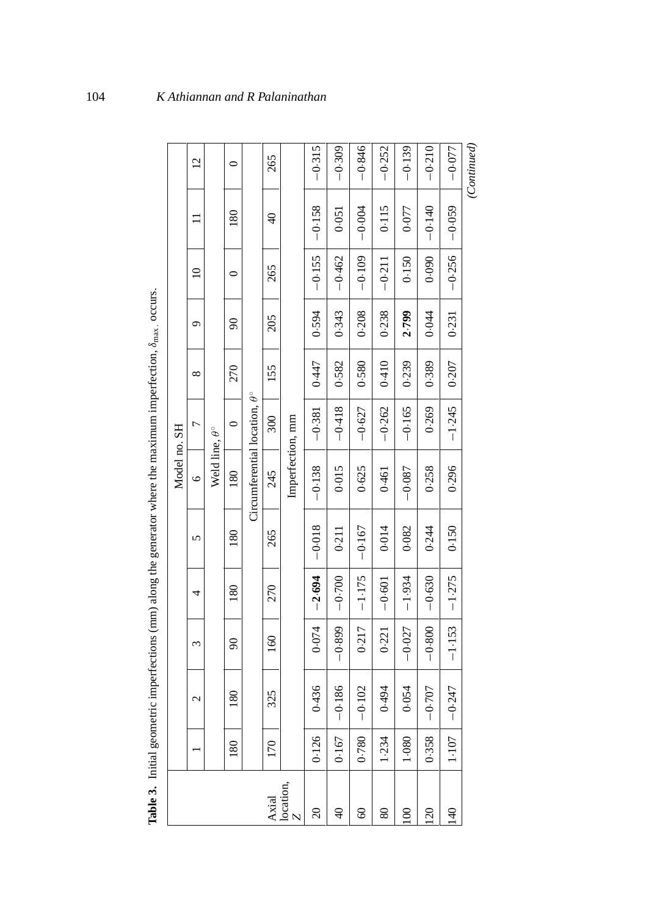| Table 3. Initial geometric |       |                |          |          |          | imperfections (mm) along the generator where the maximum imperfection, $\delta_{\text{max}}$ , occurs. |          |            |          |                 |               |                |
|----------------------------|-------|----------------|----------|----------|----------|--------------------------------------------------------------------------------------------------------|----------|------------|----------|-----------------|---------------|----------------|
|                            |       |                |          |          |          | Model no. SH                                                                                           |          |            |          |                 |               |                |
|                            |       |                | ξ        | 4        | 5        | $\circ$                                                                                                | Γ        | $^{\circ}$ | Ó        | $\overline{10}$ |               | $\overline{2}$ |
|                            |       |                |          |          |          | Weld line, $\theta^{\circ}$                                                                            |          |            |          |                 |               |                |
|                            | 180   | 180            | $\infty$ | 180      | 180      | 180                                                                                                    | $\circ$  | 270        | $\infty$ | 0               | 180           | 0              |
|                            |       |                |          |          |          | Circumferential location, $\theta^{\circ}$                                                             |          |            |          |                 |               |                |
| Axial                      | 170   | 325            | 160      | 270      | 265      | 245                                                                                                    | 300      | 155        | 205      | 265             | $\frac{1}{4}$ | 265            |
| location,                  |       |                |          |          |          | Imperfection, mm                                                                                       |          |            |          |                 |               |                |
| $\overline{c}$             | 0.126 | 0.436          | 0.074    | $-2.694$ | $-0.018$ | $-0.138$                                                                                               | $-0.381$ | 0.447      | 0.594    | $-0.155$        | $-0.158$      | $-0.315$       |
| $\frac{1}{4}$              | 0.167 | 86<br>$-1$     | $-0.899$ | $-0.700$ | 0.211    | 0.015                                                                                                  | $-0.418$ | 0.582      | 0.343    | $-0.462$        | 0.051         | $-0.309$       |
| 8                          | 0.780 | 102<br>$-1$    | 0.217    | $-1.175$ | $-0.167$ | 0.625                                                                                                  | $-0.627$ | 0.580      | 0.208    | $-0.109$        | $-0.004$      | $-0.846$       |
| 80                         | 1.234 | 0.494          | 0.221    | $-0.601$ | 0.014    | 0.461                                                                                                  | $-0.262$ | 0.410      | 0.238    | $-0.211$        | 0.115         | $-0.252$       |
| $\overline{0}$             | 1.080 | 54<br>$\rm{C}$ | $-0.027$ | $-1.934$ | 0.082    | $-0.087$                                                                                               | $-0.165$ | 0.239      | 2.799    | 0.150           | 0.077         | $-0.139$       |
| 120                        | 0.358 | $-0.707$       | $-0.800$ | $-0.630$ | 0.244    | 0.258                                                                                                  | 0.269    | 0.389      | 0.044    | 0.090           | $-0.140$      | $-0.210$       |
| $\overline{140}$           | 1.107 | $-0.247$       | $-1.153$ | $-1.275$ | 0.150    | 0.296                                                                                                  | $-1.245$ | 0.207      | 0.231    | $-0.256$        | $-0.059$      | $-0.077$       |
|                            |       |                |          |          |          |                                                                                                        |          |            |          |                 |               | (Continued)    |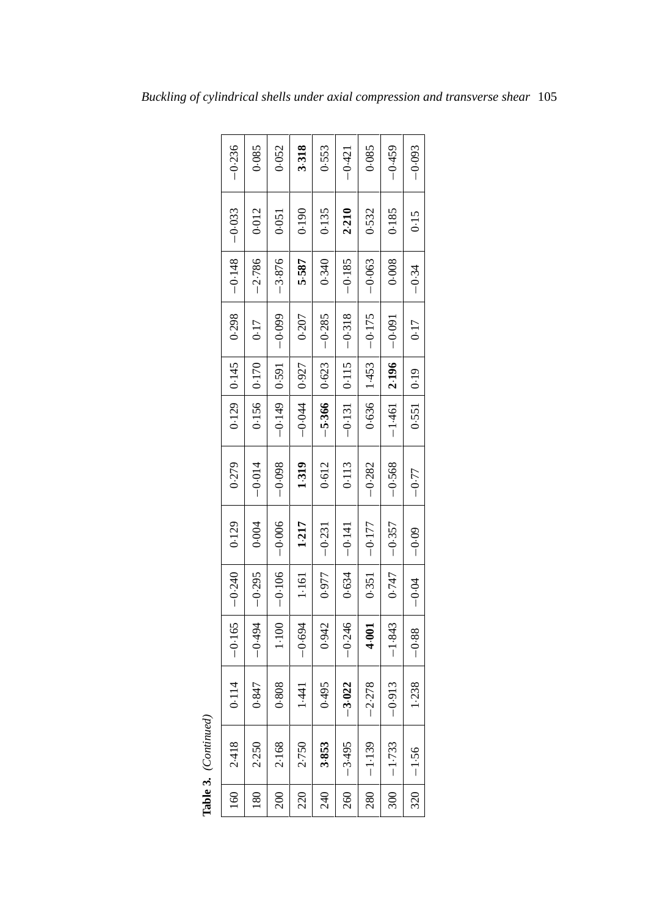| $-0.236$        | 0.085         | 0.052           | 3.318            | 0.553            | $-0.421$         | 0.085           | $-0.459$        | $-0.093$       |
|-----------------|---------------|-----------------|------------------|------------------|------------------|-----------------|-----------------|----------------|
| $-0.033$        | 0.012         | 0.051           | 0.190            | 0.135            | 2.210            | 0.532           | 0.185           | 0.15           |
| $-0.148$        | $-2.786$      | $-3.876$        | 5.587            | 0.340            | $-0.185$         | $-0.063$        | 0.008           | $-0.34$        |
| 0.298           | 0.17          | $-0.099$        | 0.207            | $-0.285$         | $-0.318$         | $-0.175$        | $-0.091$        | 0.17           |
|                 |               |                 |                  |                  |                  |                 |                 | $0.551$ $0.19$ |
| $0.129$ $0.145$ | $0.156$ 0.170 | $-0.149$ [0.59] | $-0.044$   0.927 | $-5.366$   0.623 | $-0.131   0.115$ | $0.636$   1.453 | $-1.461$ 2.196  |                |
| 0.279           | $-0.014$      | $-0.098$        | 1.319            | 0.612            | 0.113            | $-0.282$        | $-0.568$        | $-0.77$        |
| 0.129           | 0.004         | $-0.006$        | 1.217            | $-0.231$         | $-0.141$         | $-0.177$        | $-0.357$        | $-0.09$        |
| $-0.240$        | $-0.295$      | $-0.106$        | 1.161            | 0.977            | 0.634            | 0.351           | 0.747           | $-0.04$        |
| $-0.165$        | $-0.494$      | 1.100           | $-0.694$         | 0.942            | $-0.246$         | 4.001           | $-1.843$        | $-0.88$        |
| 0.114           | 0.847         | 0.808           | 1.441            | 0.495            | $-3.022$         | $-2.278$        | $-0.913$        | 1.238          |
| 2.418           | 2.250         | 2.168           | 2.750            | 3.853            | $-3.495$         | $-1.139$        | $-1.733$        | $-1.56$        |
| 160             | 180           | 200             | 220              | 240              | 260              | 280             | $\frac{1}{200}$ | 320            |

**Table 3.** *(Continued)*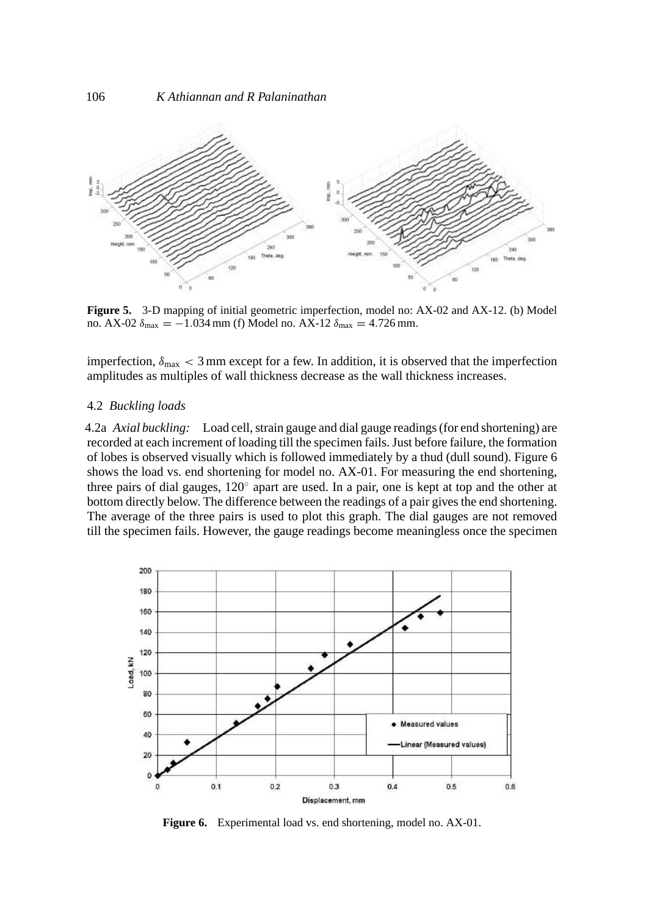

**Figure 5.** 3-D mapping of initial geometric imperfection, model no: AX-02 and AX-12. (b) Model no. AX-02  $\delta_{\text{max}} = -1.034 \text{ mm}$  (f) Model no. AX-12  $\delta_{\text{max}} = 4.726 \text{ mm}$ .

imperfection,  $\delta_{\text{max}} < 3$  mm except for a few. In addition, it is observed that the imperfection amplitudes as multiples of wall thickness decrease as the wall thickness increases.

#### 4.2 *Buckling loads*

4.2a *Axial buckling:* Load cell, strain gauge and dial gauge readings (for end shortening) are recorded at each increment of loading till the specimen fails. Just before failure, the formation of lobes is observed visually which is followed immediately by a thud (dull sound). Figure 6 shows the load vs. end shortening for model no. AX-01. For measuring the end shortening, three pairs of dial gauges, 120◦ apart are used. In a pair, one is kept at top and the other at bottom directly below. The difference between the readings of a pair gives the end shortening. The average of the three pairs is used to plot this graph. The dial gauges are not removed till the specimen fails. However, the gauge readings become meaningless once the specimen



**Figure 6.** Experimental load vs. end shortening, model no. AX-01.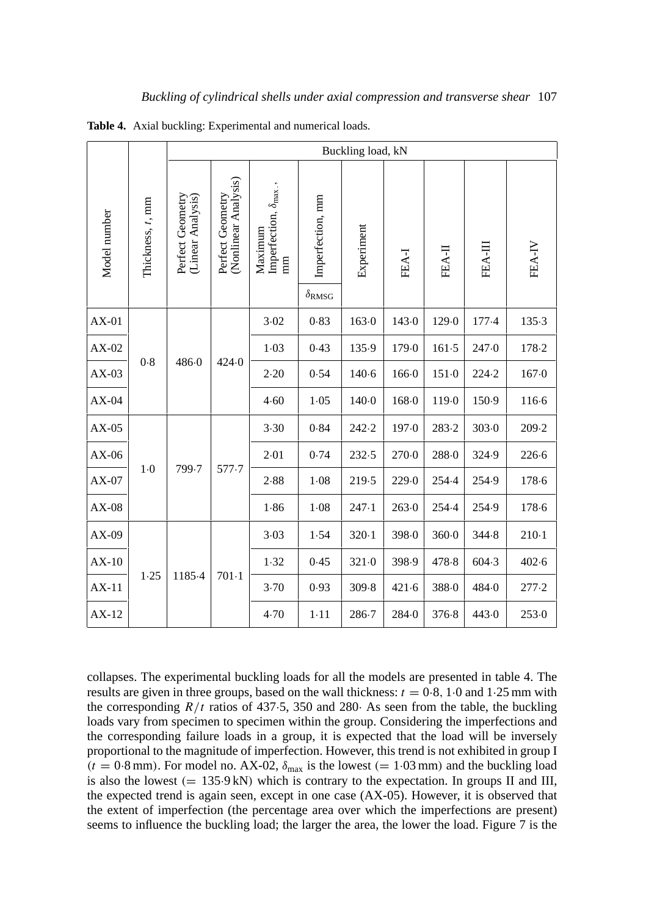|              |                  |                                       |                                          |                                                                 |                                         | Buckling load, kN |       |           |         |         |
|--------------|------------------|---------------------------------------|------------------------------------------|-----------------------------------------------------------------|-----------------------------------------|-------------------|-------|-----------|---------|---------|
| Model number | Thickness, t, mm | Perfect Geometry<br>(Linear Analysis) | (Nonlinear Analysis)<br>Perfect Geometry | Imperfection, $\delta_{\max}$ .,<br>Maximum<br>$\sum_{i=1}^{n}$ | Imperfection, mm<br>$\delta_{\rm RMSG}$ | Experiment        | FEA-I | FEA-II    | FEA-III | FEA-IV  |
| $AX-01$      |                  |                                       |                                          | 3.02                                                            | 0.83                                    | 163.0             | 143.0 | 129.0     | 177.4   | 135.3   |
| $AX-02$      |                  |                                       |                                          | 1.03                                                            | 0.43                                    | 135.9             | 179.0 | 161.5     | 247.0   | 178.2   |
| $AX-03$      | 0.8              | 486.0                                 | 424.0                                    | 2.20                                                            | 0.54                                    | 140.6             | 166.0 | $151-0$   | 224.2   | 167.0   |
| $AX-04$      |                  |                                       |                                          | 4.60                                                            | 1.05                                    | 140.0             | 168.0 | 119.0     | 150.9   | 116.6   |
| $AX-05$      |                  | 799.7                                 | 577.7                                    | 3.30                                                            | 0.84                                    | 242.2             | 197.0 | 283.2     | 303.0   | 209.2   |
| $AX-06$      |                  |                                       |                                          | 2.01                                                            | 0.74                                    | 232.5             | 270.0 | 288.0     | 324.9   | 226.6   |
| $AX-07$      | $1-0$            |                                       |                                          | 2.88                                                            | 1.08                                    | 219.5             | 229.0 | 254.4     | 254.9   | 178.6   |
| $AX-08$      |                  |                                       |                                          | 1.86                                                            | 1.08                                    | 247.1             | 263.0 | 254.4     | 254.9   | 178.6   |
| $AX-09$      |                  |                                       |                                          | 3.03                                                            | 1.54                                    | $320 - 1$         | 398.0 | $360 - 0$ | 344.8   | $210-1$ |
| $AX-10$      | 1.25             | 1185.4                                |                                          | 1.32                                                            | 0.45                                    | $321 - 0$         | 398.9 | 478.8     | 604.3   | 402.6   |
| $AX-11$      |                  |                                       | $701-1$                                  | 3.70                                                            | 0.93                                    | 309.8             | 421.6 | 388.0     | 484.0   | 277.2   |
| $AX-12$      |                  |                                       |                                          | 4.70                                                            | $1-11$                                  | 286.7             | 284.0 | 376.8     | 443.0   | 253.0   |

**Table 4.** Axial buckling: Experimental and numerical loads.

collapses. The experimental buckling loads for all the models are presented in table 4. The results are given in three groups, based on the wall thickness:  $t = 0.8$ , 1.0 and 1.25 mm with the corresponding  $R/t$  ratios of 437.5, 350 and 280 $\cdot$  As seen from the table, the buckling loads vary from specimen to specimen within the group. Considering the imperfections and the corresponding failure loads in a group, it is expected that the load will be inversely proportional to the magnitude of imperfection. However, this trend is not exhibited in group I  $(t = 0.8$  mm). For model no. AX-02,  $\delta_{\text{max}}$  is the lowest (= 1.03 mm) and the buckling load is also the lowest  $(= 135.9 \text{ kN})$  which is contrary to the expectation. In groups II and III, the expected trend is again seen, except in one case (AX-05). However, it is observed that the extent of imperfection (the percentage area over which the imperfections are present) seems to influence the buckling load; the larger the area, the lower the load. Figure 7 is the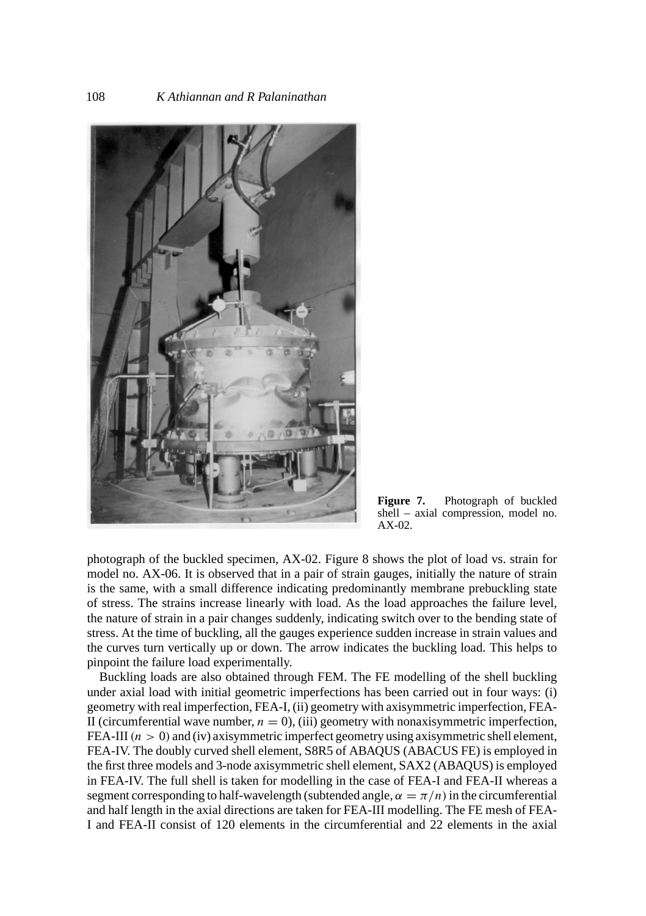

**Figure 7.** Photograph of buckled shell – axial compression, model no. AX-02.

photograph of the buckled specimen, AX-02. Figure 8 shows the plot of load vs. strain for model no. AX-06. It is observed that in a pair of strain gauges, initially the nature of strain is the same, with a small difference indicating predominantly membrane prebuckling state of stress. The strains increase linearly with load. As the load approaches the failure level, the nature of strain in a pair changes suddenly, indicating switch over to the bending state of stress. At the time of buckling, all the gauges experience sudden increase in strain values and the curves turn vertically up or down. The arrow indicates the buckling load. This helps to pinpoint the failure load experimentally.

Buckling loads are also obtained through FEM. The FE modelling of the shell buckling under axial load with initial geometric imperfections has been carried out in four ways: (i) geometry with real imperfection, FEA-I, (ii) geometry with axisymmetric imperfection, FEA-II (circumferential wave number,  $n = 0$ ), (iii) geometry with nonaxisymmetric imperfection, FEA-III ( $n > 0$ ) and (iv) axisymmetric imperfect geometry using axisymmetric shell element, FEA-IV. The doubly curved shell element, S8R5 of ABAQUS (ABACUS FE) is employed in the first three models and 3-node axisymmetric shell element, SAX2 (ABAQUS) is employed in FEA-IV. The full shell is taken for modelling in the case of FEA-I and FEA-II whereas a segment corresponding to half-wavelength (subtended angle,  $\alpha = \pi/n$ ) in the circumferential and half length in the axial directions are taken for FEA-III modelling. The FE mesh of FEA-I and FEA-II consist of 120 elements in the circumferential and 22 elements in the axial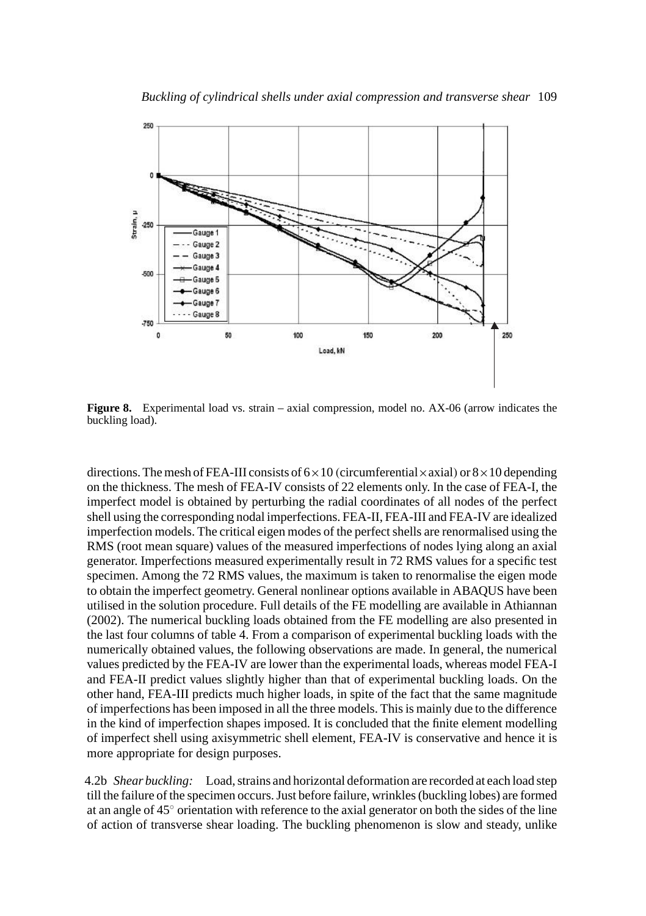

**Figure 8.** Experimental load vs. strain – axial compression, model no. AX-06 (arrow indicates the buckling load).

directions. The mesh of FEA-III consists of  $6\times10$  (circumferential  $\times$  axial) or  $8\times10$  depending on the thickness. The mesh of FEA-IV consists of 22 elements only. In the case of FEA-I, the imperfect model is obtained by perturbing the radial coordinates of all nodes of the perfect shell using the corresponding nodal imperfections. FEA-II, FEA-III and FEA-IV are idealized imperfection models. The critical eigen modes of the perfect shells are renormalised using the RMS (root mean square) values of the measured imperfections of nodes lying along an axial generator. Imperfections measured experimentally result in 72 RMS values for a specific test specimen. Among the 72 RMS values, the maximum is taken to renormalise the eigen mode to obtain the imperfect geometry. General nonlinear options available in ABAQUS have been utilised in the solution procedure. Full details of the FE modelling are available in Athiannan (2002). The numerical buckling loads obtained from the FE modelling are also presented in the last four columns of table 4. From a comparison of experimental buckling loads with the numerically obtained values, the following observations are made. In general, the numerical values predicted by the FEA-IV are lower than the experimental loads, whereas model FEA-I and FEA-II predict values slightly higher than that of experimental buckling loads. On the other hand, FEA-III predicts much higher loads, in spite of the fact that the same magnitude of imperfections has been imposed in all the three models. This is mainly due to the difference in the kind of imperfection shapes imposed. It is concluded that the finite element modelling of imperfect shell using axisymmetric shell element, FEA-IV is conservative and hence it is more appropriate for design purposes.

4.2b *Shear buckling:* Load, strains and horizontal deformation are recorded at each load step till the failure of the specimen occurs. Just before failure, wrinkles (buckling lobes) are formed at an angle of 45◦ orientation with reference to the axial generator on both the sides of the line of action of transverse shear loading. The buckling phenomenon is slow and steady, unlike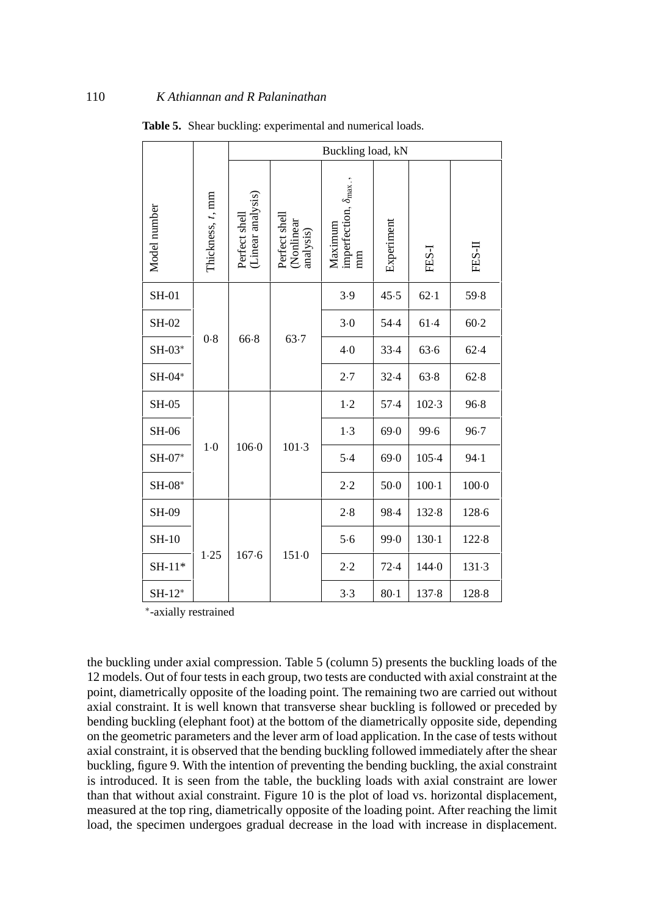|              |                  |                                    |                                          | Buckling load, kN                                 |            |           |           |
|--------------|------------------|------------------------------------|------------------------------------------|---------------------------------------------------|------------|-----------|-----------|
| Model number | Thickness, t, mm | (Linear analysis)<br>Perfect shell | Perfect shell<br>(Nonlinear<br>analysis) | imperfection, $\delta_{\max}$ .,<br>Maximum<br>mm | Experiment | FES-I     | FES-II    |
| <b>SH-01</b> |                  |                                    |                                          | 3.9                                               | 45.5       | 62.1      | 59.8      |
| SH-02        |                  |                                    |                                          | 3.0                                               | 54.4       | 61.4      | 60.2      |
| SH-03*       | 0.8              | $66 - 8$                           | 63.7                                     | 4.0                                               | 33.4       | 63.6      | 62.4      |
| SH-04*       | $1-0$            |                                    |                                          | 2.7                                               | 32.4       | 63.8      | 62.8      |
| <b>SH-05</b> |                  |                                    | $101-3$                                  | $1-2$                                             | 57.4       | 102.3     | 96.8      |
| SH-06        |                  |                                    |                                          | $1-3$                                             | 69.0       | 99.6      | $96 - 7$  |
| SH-07*       |                  | $106 - 0$                          |                                          | 5.4                                               | 69.0       | 105.4     | 94.1      |
| $SH-08*$     |                  |                                    |                                          | 2.2                                               | $50-0$     | $100 - 1$ | $100 - 0$ |
| SH-09        |                  |                                    |                                          | 2.8                                               | 98.4       | 132.8     | 128.6     |
| $SH-10$      |                  |                                    |                                          | 5.6                                               | 99.0       | $130-1$   | 122.8     |
| $SH-11*$     | 1.25             | 167.6                              | $151 - 0$                                | 2.2                                               | 72.4       | 144.0     | 131.3     |
| $SH-12*$     |                  |                                    |                                          | 3.3                                               | $80 - 1$   | 137.8     | 128.8     |

**Table 5.** Shear buckling: experimental and numerical loads.

<sup>∗</sup>-axially restrained

the buckling under axial compression. Table 5 (column 5) presents the buckling loads of the 12 models. Out of four tests in each group, two tests are conducted with axial constraint at the point, diametrically opposite of the loading point. The remaining two are carried out without axial constraint. It is well known that transverse shear buckling is followed or preceded by bending buckling (elephant foot) at the bottom of the diametrically opposite side, depending on the geometric parameters and the lever arm of load application. In the case of tests without axial constraint, it is observed that the bending buckling followed immediately after the shear buckling, figure 9. With the intention of preventing the bending buckling, the axial constraint is introduced. It is seen from the table, the buckling loads with axial constraint are lower than that without axial constraint. Figure 10 is the plot of load vs. horizontal displacement, measured at the top ring, diametrically opposite of the loading point. After reaching the limit load, the specimen undergoes gradual decrease in the load with increase in displacement.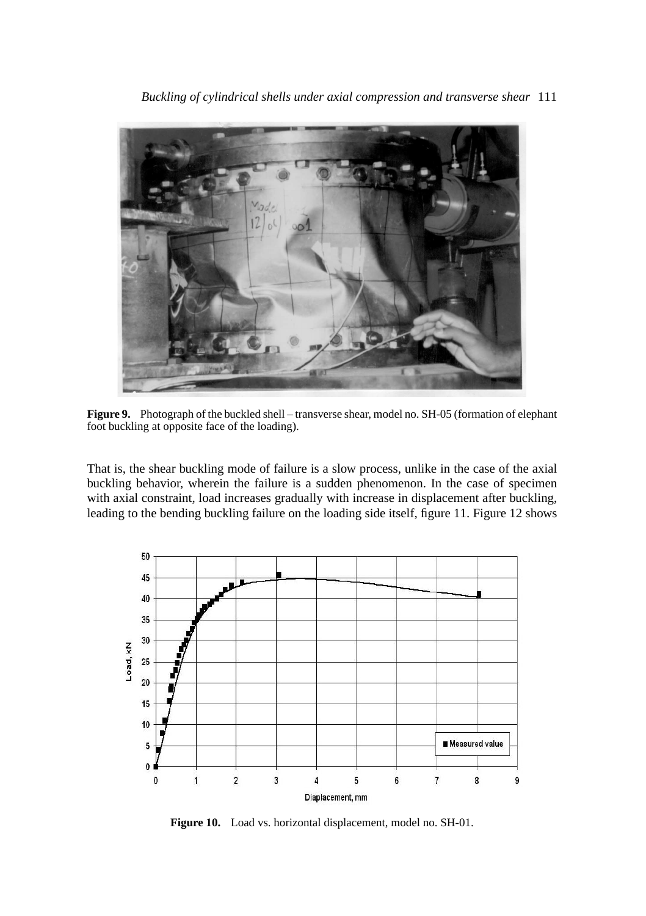



**Figure 9.** Photograph of the buckled shell – transverse shear, model no. SH-05 (formation of elephant foot buckling at opposite face of the loading).

That is, the shear buckling mode of failure is a slow process, unlike in the case of the axial buckling behavior, wherein the failure is a sudden phenomenon. In the case of specimen with axial constraint, load increases gradually with increase in displacement after buckling, leading to the bending buckling failure on the loading side itself, figure 11. Figure 12 shows



**Figure 10.** Load vs. horizontal displacement, model no. SH-01.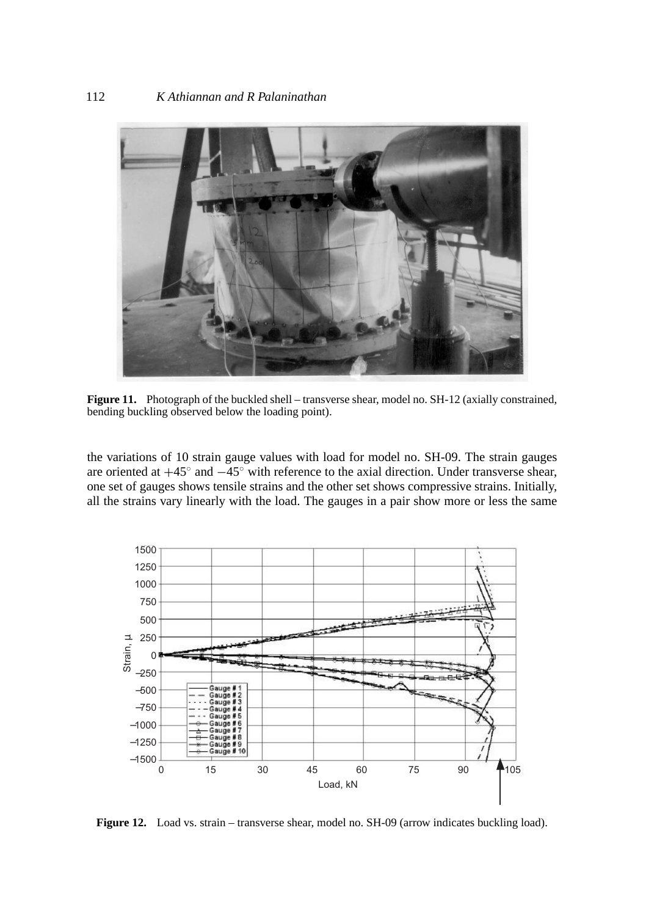

**Figure 11.** Photograph of the buckled shell – transverse shear, model no. SH-12 (axially constrained, bending buckling observed below the loading point).

the variations of 10 strain gauge values with load for model no. SH-09. The strain gauges are oriented at +45◦ and −45◦ with reference to the axial direction. Under transverse shear, one set of gauges shows tensile strains and the other set shows compressive strains. Initially, all the strains vary linearly with the load. The gauges in a pair show more or less the same



Figure 12. Load vs. strain – transverse shear, model no. SH-09 (arrow indicates buckling load).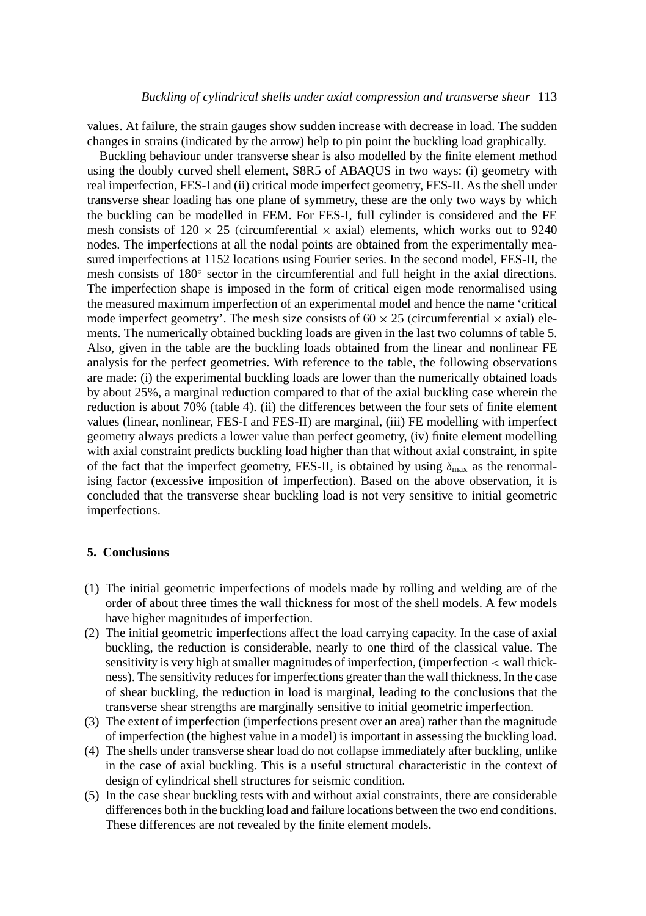values. At failure, the strain gauges show sudden increase with decrease in load. The sudden changes in strains (indicated by the arrow) help to pin point the buckling load graphically.

Buckling behaviour under transverse shear is also modelled by the finite element method using the doubly curved shell element, S8R5 of ABAQUS in two ways: (i) geometry with real imperfection, FES-I and (ii) critical mode imperfect geometry, FES-II. As the shell under transverse shear loading has one plane of symmetry, these are the only two ways by which the buckling can be modelled in FEM. For FES-I, full cylinder is considered and the FE mesh consists of  $120 \times 25$  (circumferential  $\times$  axial) elements, which works out to 9240 nodes. The imperfections at all the nodal points are obtained from the experimentally measured imperfections at 1152 locations using Fourier series. In the second model, FES-II, the mesh consists of 180◦ sector in the circumferential and full height in the axial directions. The imperfection shape is imposed in the form of critical eigen mode renormalised using the measured maximum imperfection of an experimental model and hence the name 'critical mode imperfect geometry'. The mesh size consists of  $60 \times 25$  (circumferential  $\times$  axial) elements. The numerically obtained buckling loads are given in the last two columns of table 5. Also, given in the table are the buckling loads obtained from the linear and nonlinear FE analysis for the perfect geometries. With reference to the table, the following observations are made: (i) the experimental buckling loads are lower than the numerically obtained loads by about 25%, a marginal reduction compared to that of the axial buckling case wherein the reduction is about 70% (table 4). (ii) the differences between the four sets of finite element values (linear, nonlinear, FES-I and FES-II) are marginal, (iii) FE modelling with imperfect geometry always predicts a lower value than perfect geometry, (iv) finite element modelling with axial constraint predicts buckling load higher than that without axial constraint, in spite of the fact that the imperfect geometry, FES-II, is obtained by using  $\delta_{\text{max}}$  as the renormalising factor (excessive imposition of imperfection). Based on the above observation, it is concluded that the transverse shear buckling load is not very sensitive to initial geometric imperfections.

#### **5. Conclusions**

- (1) The initial geometric imperfections of models made by rolling and welding are of the order of about three times the wall thickness for most of the shell models. A few models have higher magnitudes of imperfection.
- (2) The initial geometric imperfections affect the load carrying capacity. In the case of axial buckling, the reduction is considerable, nearly to one third of the classical value. The sensitivity is very high at smaller magnitudes of imperfection, (imperfection < wall thickness). The sensitivity reduces for imperfections greater than the wall thickness. In the case of shear buckling, the reduction in load is marginal, leading to the conclusions that the transverse shear strengths are marginally sensitive to initial geometric imperfection.
- (3) The extent of imperfection (imperfections present over an area) rather than the magnitude of imperfection (the highest value in a model) is important in assessing the buckling load.
- (4) The shells under transverse shear load do not collapse immediately after buckling, unlike in the case of axial buckling. This is a useful structural characteristic in the context of design of cylindrical shell structures for seismic condition.
- (5) In the case shear buckling tests with and without axial constraints, there are considerable differences both in the buckling load and failure locations between the two end conditions. These differences are not revealed by the finite element models.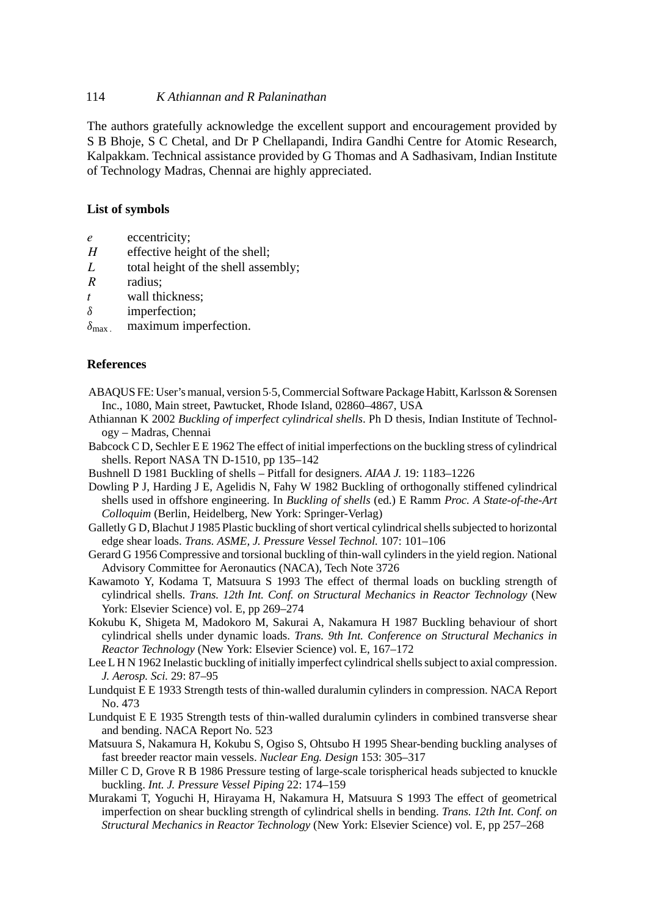The authors gratefully acknowledge the excellent support and encouragement provided by S B Bhoje, S C Chetal, and Dr P Chellapandi, Indira Gandhi Centre for Atomic Research, Kalpakkam. Technical assistance provided by G Thomas and A Sadhasivam, Indian Institute of Technology Madras, Chennai are highly appreciated.

# **List of symbols**

- e eccentricity;
- H effective height of the shell;
- $L$  total height of the shell assembly;
- R radius;
- $t$  wall thickness:
- $\delta$  imperfection;
- $\delta_{\text{max}}$ . maximum imperfection.

## **References**

- ABAQUS FE: User's manual, version 5·5, Commercial Software Package Habitt, Karlsson & Sorensen Inc., 1080, Main street, Pawtucket, Rhode Island, 02860–4867, USA
- Athiannan K 2002 *Buckling of imperfect cylindrical shells*. Ph D thesis, Indian Institute of Technology – Madras, Chennai
- Babcock C D, Sechler E E 1962 The effect of initial imperfections on the buckling stress of cylindrical shells. Report NASA TN D-1510, pp 135–142
- Bushnell D 1981 Buckling of shells Pitfall for designers. *AIAA J.* 19: 1183–1226
- Dowling P J, Harding J E, Agelidis N, Fahy W 1982 Buckling of orthogonally stiffened cylindrical shells used in offshore engineering. In *Buckling of shells* (ed.) E Ramm *Proc. A State-of-the-Art Colloquim* (Berlin, Heidelberg, New York: Springer-Verlag)
- Galletly G D, Blachut J 1985 Plastic buckling of short vertical cylindrical shells subjected to horizontal edge shear loads. *Trans. ASME, J. Pressure Vessel Technol.* 107: 101–106
- Gerard G 1956 Compressive and torsional buckling of thin-wall cylinders in the yield region. National Advisory Committee for Aeronautics (NACA), Tech Note 3726
- Kawamoto Y, Kodama T, Matsuura S 1993 The effect of thermal loads on buckling strength of cylindrical shells. *Trans. 12th Int. Conf. on Structural Mechanics in Reactor Technology* (New York: Elsevier Science) vol. E, pp 269–274
- Kokubu K, Shigeta M, Madokoro M, Sakurai A, Nakamura H 1987 Buckling behaviour of short cylindrical shells under dynamic loads. *Trans. 9th Int. Conference on Structural Mechanics in Reactor Technology* (New York: Elsevier Science) vol. E, 167–172
- Lee L H N 1962 Inelastic buckling of initially imperfect cylindrical shells subject to axial compression. *J. Aerosp. Sci.* 29: 87–95
- Lundquist E E 1933 Strength tests of thin-walled duralumin cylinders in compression. NACA Report No. 473
- Lundquist E E 1935 Strength tests of thin-walled duralumin cylinders in combined transverse shear and bending. NACA Report No. 523
- Matsuura S, Nakamura H, Kokubu S, Ogiso S, Ohtsubo H 1995 Shear-bending buckling analyses of fast breeder reactor main vessels. *Nuclear Eng. Design* 153: 305–317
- Miller C D, Grove R B 1986 Pressure testing of large-scale torispherical heads subjected to knuckle buckling. *Int. J. Pressure Vessel Piping* 22: 174–159
- Murakami T, Yoguchi H, Hirayama H, Nakamura H, Matsuura S 1993 The effect of geometrical imperfection on shear buckling strength of cylindrical shells in bending. *Trans. 12th Int. Conf. on Structural Mechanics in Reactor Technology* (New York: Elsevier Science) vol. E, pp 257–268